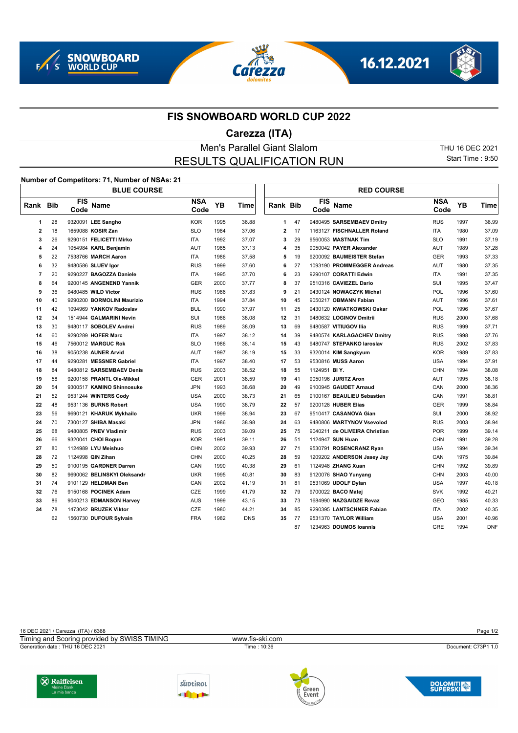







## **FIS SNOWBOARD WORLD CUP 2022**

## **Carezza (ITA)**

Men's Parallel Giant Slalom THU 16 DEC 2021 RESULTS QUALIFICATION RUN

ת ר

Start Time : 9:50

## **Number of Competitors: 71, Number of NSAs: 21**

|              |    | <b>BLUE COURSE</b>          |                    |           |            |                         |    |                            | <b>RED COURSE</b>             |                    |           |            |
|--------------|----|-----------------------------|--------------------|-----------|------------|-------------------------|----|----------------------------|-------------------------------|--------------------|-----------|------------|
| Rank Bib     |    | <b>FIS</b><br>Name<br>Code  | <b>NSA</b><br>Code | <b>YB</b> | Time       | <b>Rank Bib</b>         |    | <b>FIS</b><br>Name<br>Code |                               | <b>NSA</b><br>Code | <b>YB</b> | Time       |
| 1            | 28 | 9320091 LEE Sangho          | <b>KOR</b>         | 1995      | 36.88      | $\mathbf{1}$            | 47 |                            | 9480495 SARSEMBAEV Dmitry     | <b>RUS</b>         | 1997      | 36.99      |
| $\mathbf{2}$ | 18 | 1659088 KOSIR Zan           | <b>SLO</b>         | 1984      | 37.06      | $\overline{\mathbf{2}}$ | 17 |                            | 1163127 FISCHNALLER Roland    | <b>ITA</b>         | 1980      | 37.09      |
| 3            | 26 | 9290151 FELICETTI Mirko     | <b>ITA</b>         | 1992      | 37.07      | 3                       | 29 | 9560053 MASTNAK Tim        |                               | <b>SLO</b>         | 1991      | 37.19      |
| 4            | 24 | 1054984 KARL Benjamin       | AUT                | 1985      | 37.13      | 4                       | 35 | 9050042 PAYER Alexander    |                               | <b>AUT</b>         | 1989      | 37.28      |
| 5            | 22 | 7538766 MARCH Aaron         | ITA                | 1986      | 37.58      | 5                       | 19 |                            | 9200092 BAUMEISTER Stefan     | <b>GER</b>         | 1993      | 37.33      |
| 6            | 32 | 9480586 SLUEV Igor          | <b>RUS</b>         | 1999      | 37.60      | 6                       | 27 |                            | 1093190 PROMMEGGER Andreas    | <b>AUT</b>         | 1980      | 37.35      |
| 7            | 20 | 9290227 BAGOZZA Daniele     | <b>ITA</b>         | 1995      | 37.70      | 6                       | 23 | 9290107 CORATTI Edwin      |                               | <b>ITA</b>         | 1991      | 37.35      |
| 8            | 64 | 9200145 ANGENEND Yannik     | <b>GER</b>         | 2000      | 37.77      | 8                       | 37 | 9510316 CAVIEZEL Dario     |                               | SUI                | 1995      | 37.47      |
| 9            | 36 | 9480485 WILD Victor         | <b>RUS</b>         | 1986      | 37.83      | 9                       | 21 |                            | 9430124 NOWACZYK Michal       | <b>POL</b>         | 1996      | 37.60      |
| 10           | 40 | 9290200 BORMOLINI Maurizio  | <b>ITA</b>         | 1994      | 37.84      | 10                      | 45 | 9050217 OBMANN Fabian      |                               | AUT                | 1996      | 37.61      |
| 11           | 42 | 1094969 YANKOV Radoslav     | <b>BUL</b>         | 1990      | 37.97      | 11                      | 25 |                            | 9430120 KWIATKOWSKI Oskar     | <b>POL</b>         | 1996      | 37.67      |
| 12           | 34 | 1514944 GALMARINI Nevin     | SUI                | 1986      | 38.08      | 12                      | 31 | 9480632 LOGINOV Dmitrii    |                               | <b>RUS</b>         | 2000      | 37.68      |
| 13           | 30 | 9480117 SOBOLEV Andrei      | <b>RUS</b>         | 1989      | 38.09      | 13                      | 69 | 9480587 VITIUGOV Ilia      |                               | <b>RUS</b>         | 1999      | 37.71      |
| 14           | 60 | 9290289 HOFER Marc          | <b>ITA</b>         | 1997      | 38.12      | 14                      | 39 |                            | 9480574 KARLAGACHEV Dmitry    | <b>RUS</b>         | 1998      | 37.76      |
| 15           | 46 | 7560012 MARGUC Rok          | <b>SLO</b>         | 1986      | 38.14      | 15                      | 43 |                            | 9480747 STEPANKO laroslav     | <b>RUS</b>         | 2002      | 37.83      |
| 16           | 38 | 9050238 AUNER Arvid         | <b>AUT</b>         | 1997      | 38.19      | 15                      | 33 | 9320014 KIM Sangkyum       |                               | <b>KOR</b>         | 1989      | 37.83      |
| 17           | 44 | 9290281 MESSNER Gabriel     | <b>ITA</b>         | 1997      | 38.40      | 17                      | 53 | 9530816 MUSS Aaron         |                               | <b>USA</b>         | 1994      | 37.91      |
| 18           | 84 | 9480812 SARSEMBAEV Denis    | <b>RUS</b>         | 2003      | 38.52      | 18                      | 55 | 1124951 BIY.               |                               | <b>CHN</b>         | 1994      | 38.08      |
| 19           | 58 | 9200158 PRANTL Ole-Mikkel   | <b>GER</b>         | 2001      | 38.59      | 19                      | 41 | 9050196 JURITZ Aron        |                               | AUT                | 1995      | 38.18      |
| 20           | 54 | 9300517 KAMINO Shinnosuke   | JPN                | 1993      | 38.68      | 20                      | 49 | 9100945 GAUDET Arnaud      |                               | CAN                | 2000      | 38.36      |
| 21           | 52 | 9531244 WINTERS Cody        | <b>USA</b>         | 2000      | 38.73      | 21                      | 65 |                            | 9100167 BEAULIEU Sebastien    | CAN                | 1991      | 38.81      |
| 22           | 48 | 9531136 BURNS Robert        | <b>USA</b>         | 1990      | 38.79      | 22                      | 57 | 9200128 HUBER Elias        |                               | <b>GER</b>         | 1999      | 38.84      |
| 23           | 56 | 9690121 KHARUK Mykhailo     | <b>UKR</b>         | 1999      | 38.94      | 23                      | 67 | 9510417 CASANOVA Gian      |                               | SUI                | 2000      | 38.92      |
| 24           | 70 | 7300127 SHIBA Masaki        | <b>JPN</b>         | 1986      | 38.98      | 24                      | 63 |                            | 9480806 MARTYNOV Vsevolod     | <b>RUS</b>         | 2003      | 38.94      |
| 25           | 68 | 9480805 PNEV Vladimir       | <b>RUS</b>         | 2003      | 39.09      | 25                      | 75 |                            | 9040211 de OLIVEIRA Christian | <b>POR</b>         | 1999      | 39.14      |
| 26           | 66 | 9320041 CHOI Bogun          | <b>KOR</b>         | 1991      | 39.11      | 26                      | 51 | 1124947 SUN Huan           |                               | <b>CHN</b>         | 1991      | 39.28      |
| 27           | 80 | 1124989 LYU Meishuo         | <b>CHN</b>         | 2002      | 39.93      | 27                      | 71 |                            | 9530791 ROSENCRANZ Ryan       | <b>USA</b>         | 1994      | 39.34      |
| 28           | 72 | 1124998 QIN Zihan           | <b>CHN</b>         | 2000      | 40.25      | 28                      | 59 |                            | 1209202 ANDERSON Jasey Jay    | CAN                | 1975      | 39.84      |
| 29           | 50 | 9100195 GARDNER Darren      | CAN                | 1990      | 40.38      | 29                      | 61 | 1124948 ZHANG Xuan         |                               | <b>CHN</b>         | 1992      | 39.89      |
| 30           | 82 | 9690062 BELINSKYI Oleksandr | <b>UKR</b>         | 1995      | 40.81      | 30                      | 83 | 9120076 SHAO Yunyang       |                               | <b>CHN</b>         | 2003      | 40.00      |
| 31           | 74 | 9101129 HELDMAN Ben         | CAN                | 2002      | 41.19      | 31                      | 81 | 9531069 UDOLF Dylan        |                               | <b>USA</b>         | 1997      | 40.18      |
| 32           | 76 | 9150168 POCINEK Adam        | CZE                | 1999      | 41.79      | 32                      | 79 | 9700022 BACO Matej         |                               | <b>SVK</b>         | 1992      | 40.21      |
| 33           | 86 | 9040213 EDMANSON Harvey     | AUS                | 1999      | 43.15      | 33                      | 73 | 1684990 NAZGAIDZE Revaz    |                               | <b>GEO</b>         | 1985      | 40.33      |
| 34           | 78 | 1473042 BRUZEK Viktor       | CZE                | 1980      | 44.21      | 34                      | 85 |                            | 9290395 LANTSCHNER Fabian     | <b>ITA</b>         | 2002      | 40.35      |
|              | 62 | 1560730 DUFOUR Sylvain      | <b>FRA</b>         | 1982      | <b>DNS</b> | 35                      | 77 | 9531370 TAYLOR William     |                               | <b>USA</b>         | 2001      | 40.96      |
|              |    |                             |                    |           |            |                         | 87 | 1234963 DOUMOS loannis     |                               | <b>GRE</b>         | 1994      | <b>DNF</b> |

|                 | Page 1/2            |
|-----------------|---------------------|
| www.fis-ski.com |                     |
| Time: 10:36     | Document: C73P1 1.0 |
|                 |                     |
|                 |                     |
|                 |                     |